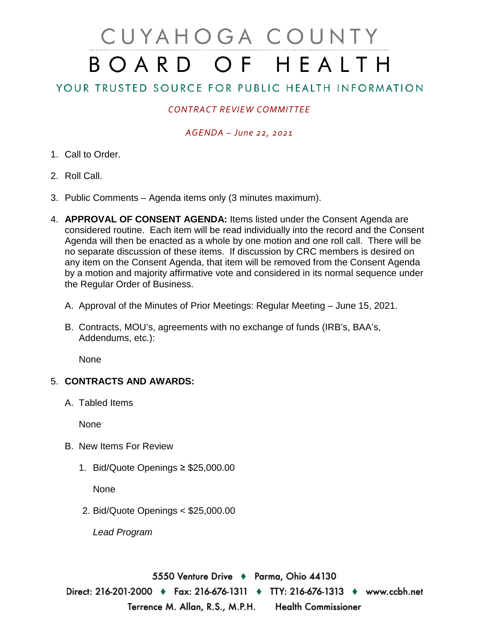# CUYAHOGA COUNTY BOARD OF HEALTH

## YOUR TRUSTED SOURCE FOR PUBLIC HEALTH INFORMATION

### *CONTRACT REVIEW COMMITTEE*

#### *AGENDA – June 22, 2021*

- 1. Call to Order.
- 2. Roll Call.
- 3. Public Comments Agenda items only (3 minutes maximum).
- 4. **APPROVAL OF CONSENT AGENDA:** Items listed under the Consent Agenda are considered routine. Each item will be read individually into the record and the Consent Agenda will then be enacted as a whole by one motion and one roll call. There will be no separate discussion of these items. If discussion by CRC members is desired on any item on the Consent Agenda, that item will be removed from the Consent Agenda by a motion and majority affirmative vote and considered in its normal sequence under the Regular Order of Business.
	- A. Approval of the Minutes of Prior Meetings: Regular Meeting June 15, 2021.
	- B. Contracts, MOU's, agreements with no exchange of funds (IRB's, BAA's, Addendums, etc.):

None

#### 5. **CONTRACTS AND AWARDS:**

A. Tabled Items

**None** 

- B. New Items For Review
	- 1. Bid/Quote Openings ≥ \$25,000.00

None

2. Bid/Quote Openings < \$25,000.00

*Lead Program* 

5550 Venture Drive ♦ Parma, Ohio 44130 Direct: 216-201-2000 ♦ Fax: 216-676-1311 ♦ TTY: 216-676-1313 ♦ www.ccbh.net Terrence M. Allan, R.S., M.P.H. **Health Commissioner**